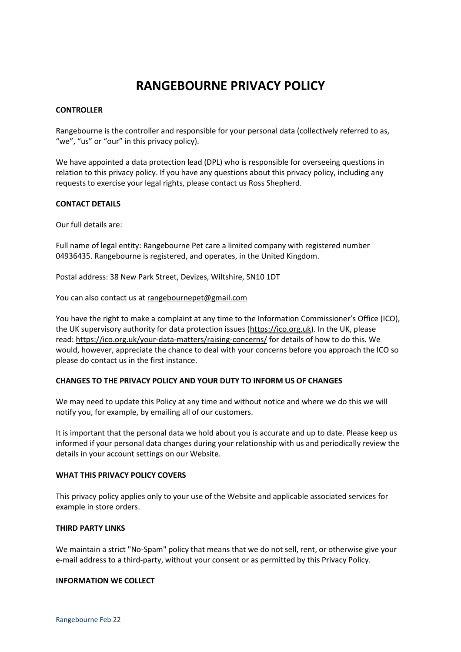# **RANGEBOURNE PRIVACY POLICY**

# **CONTROLLER**

Rangebourne is the controller and responsible for your personal data (collectively referred to as, "we", "us" or "our" in this privacy policy).

We have appointed a data protection lead (DPL) who is responsible for overseeing questions in relation to this privacy policy. If you have any questions about this privacy policy, including any requests to exercise your legal rights, please contact us Ross Shepherd.

## **CONTACT DETAILS**

Our full details are:

Full name of legal entity: Rangebourne Pet care a limited company with registered number 04936435. Rangebourne is registered, and operates, in the United Kingdom.

Postal address: 38 New Park Street, Devizes, Wiltshire, SN10 1DT

You can also contact us at [rangebournepet@gmail.com](mailto:rangebournepet@gmail.com)

You have the right to make a complaint at any time to the Information Commissioner's Office (ICO), the UK supervisory authority for data protection issues [\(https://ico.org.uk\)](https://ico.org.uk/). In the UK, please read: <https://ico.org.uk/your-data-matters/raising-concerns/> for details of how to do this. We would, however, appreciate the chance to deal with your concerns before you approach the ICO so please do contact us in the first instance.

## **CHANGES TO THE PRIVACY POLICY AND YOUR DUTY TO INFORM US OF CHANGES**

We may need to update this Policy at any time and without notice and where we do this we will notify you, for example, by emailing all of our customers.

It is important that the personal data we hold about you is accurate and up to date. Please keep us informed if your personal data changes during your relationship with us and periodically review the details in your account settings on our Website.

#### **WHAT THIS PRIVACY POLICY COVERS**

This privacy policy applies only to your use of the Website and applicable associated services for example in store orders.

#### **THIRD PARTY LINKS**

We maintain a strict "No-Spam" policy that means that we do not sell, rent, or otherwise give your e-mail address to a third-party, without your consent or as permitted by this Privacy Policy.

#### **INFORMATION WE COLLECT**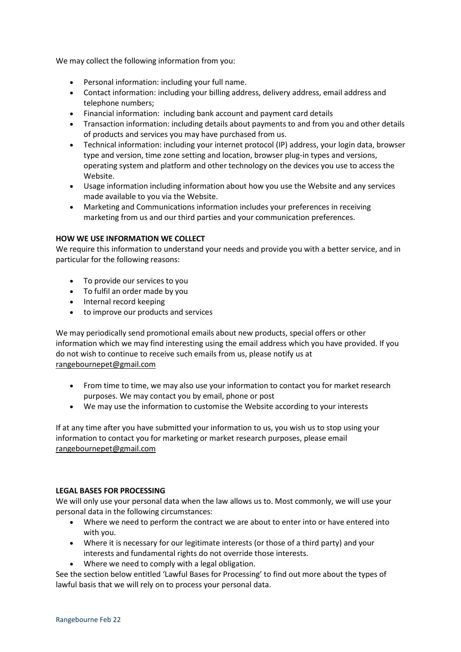We may collect the following information from you:

- Personal information: including your full name.
- Contact information: including your billing address, delivery address, email address and telephone numbers;
- Financial information: including bank account and payment card details
- Transaction information: including details about payments to and from you and other details of products and services you may have purchased from us.
- Technical information: including your internet protocol (IP) address, your login data, browser type and version, time zone setting and location, browser plug-in types and versions, operating system and platform and other technology on the devices you use to access the Website.
- Usage information including information about how you use the Website and any services made available to you via the Website.
- Marketing and Communications information includes your preferences in receiving marketing from us and our third parties and your communication preferences.

## **HOW WE USE INFORMATION WE COLLECT**

We require this information to understand your needs and provide you with a better service, and in particular for the following reasons:

- To provide our services to you
- To fulfil an order made by you
- Internal record keeping
- to improve our products and services

We may periodically send promotional emails about new products, special offers or other information which we may find interesting using the email address which you have provided. If you do not wish to continue to receive such emails from us, please notify us at [rangebournepet@gmail.com](mailto:rangebournepet@gmail.com)

- From time to time, we may also use your information to contact you for market research purposes. We may contact you by email, phone or post
- We may use the information to customise the Website according to your interests

If at any time after you have submitted your information to us, you wish us to stop using your information to contact you for marketing or market research purposes, please email [rangebournepet@gmail.com](mailto:rangebournepet@gmail.com)

## **LEGAL BASES FOR PROCESSING**

We will only use your personal data when the law allows us to. Most commonly, we will use your personal data in the following circumstances:

- Where we need to perform the contract we are about to enter into or have entered into with you.
- Where it is necessary for our legitimate interests (or those of a third party) and your interests and fundamental rights do not override those interests.
- Where we need to comply with a legal obligation.

See the section below entitled 'Lawful Bases for Processing' to find out more about the types of lawful basis that we will rely on to process your personal data.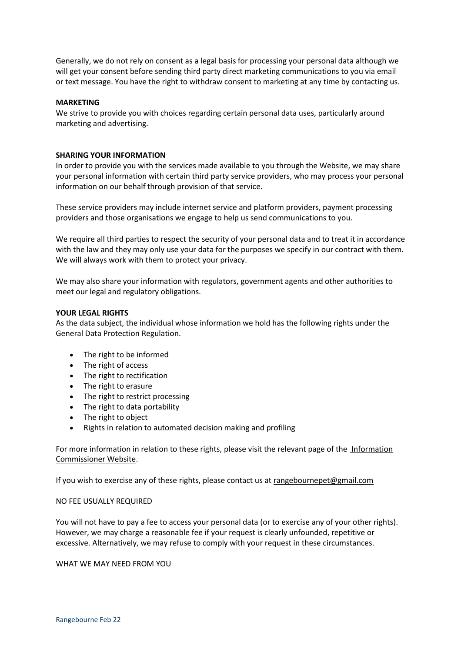Generally, we do not rely on consent as a legal basis for processing your personal data although we will get your consent before sending third party direct marketing communications to you via email or text message. You have the right to withdraw consent to marketing at any time by contacting us.

#### **MARKETING**

We strive to provide you with choices regarding certain personal data uses, particularly around marketing and advertising.

#### **SHARING YOUR INFORMATION**

In order to provide you with the services made available to you through the Website, we may share your personal information with certain third party service providers, who may process your personal information on our behalf through provision of that service.

These service providers may include internet service and platform providers, payment processing providers and those organisations we engage to help us send communications to you.

We require all third parties to respect the security of your personal data and to treat it in accordance with the law and they may only use your data for the purposes we specify in our contract with them. We will always work with them to protect your privacy.

We may also share your information with regulators, government agents and other authorities to meet our legal and regulatory obligations.

#### **YOUR LEGAL RIGHTS**

As the data subject, the individual whose information we hold has the following rights under the General Data Protection Regulation.

- The right to be informed
- The right of access
- The right to rectification
- The right to erasure
- The right to restrict processing
- The right to data portability
- The right to object
- Rights in relation to automated decision making and profiling

For more information in relation to these rights, please visit the relevant page of the Information [Commissioner Website.](https://ico.org.uk/for-organisations/guide-to-data-protection/guide-to-the-general-data-protection-regulation-gdpr/individual-rights/)

If you wish to exercise any of these rights, please contact us at [rangebournepet@gmail.com](mailto:rangebournepet@gmail.com)

#### NO FEE USUALLY REQUIRED

You will not have to pay a fee to access your personal data (or to exercise any of your other rights). However, we may charge a reasonable fee if your request is clearly unfounded, repetitive or excessive. Alternatively, we may refuse to comply with your request in these circumstances.

WHAT WE MAY NEED FROM YOU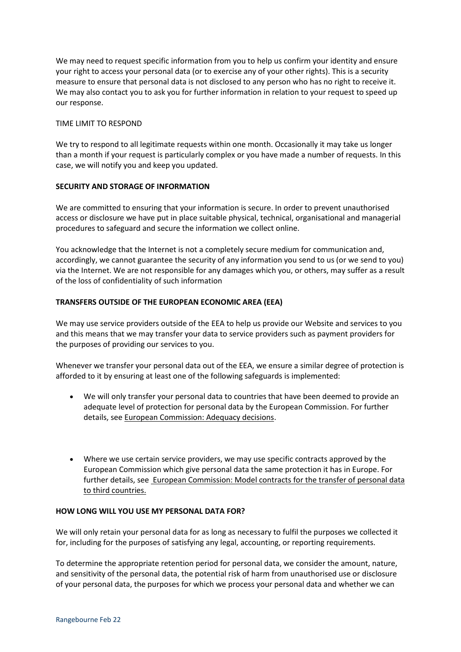We may need to request specific information from you to help us confirm your identity and ensure your right to access your personal data (or to exercise any of your other rights). This is a security measure to ensure that personal data is not disclosed to any person who has no right to receive it. We may also contact you to ask you for further information in relation to your request to speed up our response.

# TIME LIMIT TO RESPOND

We try to respond to all legitimate requests within one month. Occasionally it may take us longer than a month if your request is particularly complex or you have made a number of requests. In this case, we will notify you and keep you updated.

# **SECURITY AND STORAGE OF INFORMATION**

We are committed to ensuring that your information is secure. In order to prevent unauthorised access or disclosure we have put in place suitable physical, technical, organisational and managerial procedures to safeguard and secure the information we collect online.

You acknowledge that the Internet is not a completely secure medium for communication and, accordingly, we cannot guarantee the security of any information you send to us (or we send to you) via the Internet. We are not responsible for any damages which you, or others, may suffer as a result of the loss of confidentiality of such information

# **TRANSFERS OUTSIDE OF THE EUROPEAN ECONOMIC AREA (EEA)**

We may use service providers outside of the EEA to help us provide our Website and services to you and this means that we may transfer your data to service providers such as payment providers for the purposes of providing our services to you.

Whenever we transfer your personal data out of the EEA, we ensure a similar degree of protection is afforded to it by ensuring at least one of the following safeguards is implemented:

- We will only transfer your personal data to countries that have been deemed to provide an adequate level of protection for personal data by the European Commission. For further details, see [European Commission: Adequacy decisions.](https://ec.europa.eu/info/law/law-topic/data-protection/international-dimension-data-protection/adequacy-decisions_en)
- Where we use certain service providers, we may use specific contracts approved by the European Commission which give personal data the same protection it has in Europe. For further details, see [European Commission: Model contracts for the transfer of personal data](https://ec.europa.eu/info/law/law-topic/data-protection/international-dimension-data-protection/standard-contractual-clauses-scc_en)  [to third countries.](https://ec.europa.eu/info/law/law-topic/data-protection/international-dimension-data-protection/standard-contractual-clauses-scc_en)

## **HOW LONG WILL YOU USE MY PERSONAL DATA FOR?**

We will only retain your personal data for as long as necessary to fulfil the purposes we collected it for, including for the purposes of satisfying any legal, accounting, or reporting requirements.

To determine the appropriate retention period for personal data, we consider the amount, nature, and sensitivity of the personal data, the potential risk of harm from unauthorised use or disclosure of your personal data, the purposes for which we process your personal data and whether we can